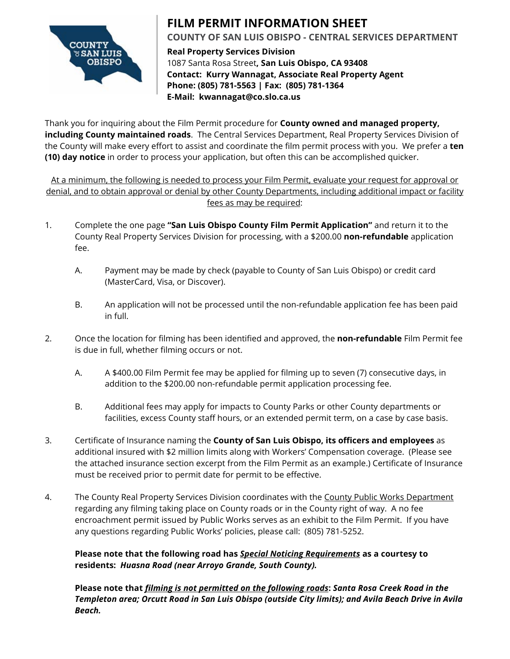

### **FILM PERMIT INFORMATION SHEET COUNTY OF SAN LUIS OBISPO - CENTRAL SERVICES DEPARTMENT**

**Real Property Services Division** 1087 Santa Rosa Street**, San Luis Obispo, CA 93408 Contact: Kurry Wannagat, Associate Real Property Agent Phone: (805) 781-5563 | Fax: (805) 781-1364 E-Mail: kwannagat@co.slo.ca.us**

Thank you for inquiring about the Film Permit procedure for **County owned and managed property, including County maintained roads**. The Central Services Department, Real Property Services Division of the County will make every effort to assist and coordinate the film permit process with you. We prefer a **ten (10) day notice** in order to process your application, but often this can be accomplished quicker.

At a minimum, the following is needed to process your Film Permit, evaluate your request for approval or denial, and to obtain approval or denial by other County Departments, including additional impact or facility fees as may be required:

- 1. Complete the one page **"San Luis Obispo County Film Permit Application"** and return it to the County Real Property Services Division for processing, with a \$200.00 **non-refundable** application fee.
	- A. Payment may be made by check (payable to County of San Luis Obispo) or credit card (MasterCard, Visa, or Discover).
	- B. An application will not be processed until the non-refundable application fee has been paid in full.
- 2. Once the location for filming has been identified and approved, the **non-refundable** Film Permit fee is due in full, whether filming occurs or not.
	- A. A \$400.00 Film Permit fee may be applied for filming up to seven (7) consecutive days, in addition to the \$200.00 non-refundable permit application processing fee.
	- B. Additional fees may apply for impacts to County Parks or other County departments or facilities, excess County staff hours, or an extended permit term, on a case by case basis.
- 3. Certificate of Insurance naming the **County of San Luis Obispo, its officers and employees** as additional insured with \$2 million limits along with Workers' Compensation coverage. (Please see the attached insurance section excerpt from the Film Permit as an example.) Certificate of Insurance must be received prior to permit date for permit to be effective.
- 4. The County Real Property Services Division coordinates with the County Public Works Department regarding any filming taking place on County roads or in the County right of way. A no fee encroachment permit issued by Public Works serves as an exhibit to the Film Permit. If you have any questions regarding Public Works' policies, please call: (805) 781-5252.

### **Please note that the following road has** *Special Noticing Requirements* **as a courtesy to residents:** *Huasna Road (near Arroyo Grande, South County).*

**Please note that** *filming is not permitted on the following roads***:** *Santa Rosa Creek Road in the Templeton area; Orcutt Road in San Luis Obispo (outside City limits); and Avila Beach Drive in Avila Beach.*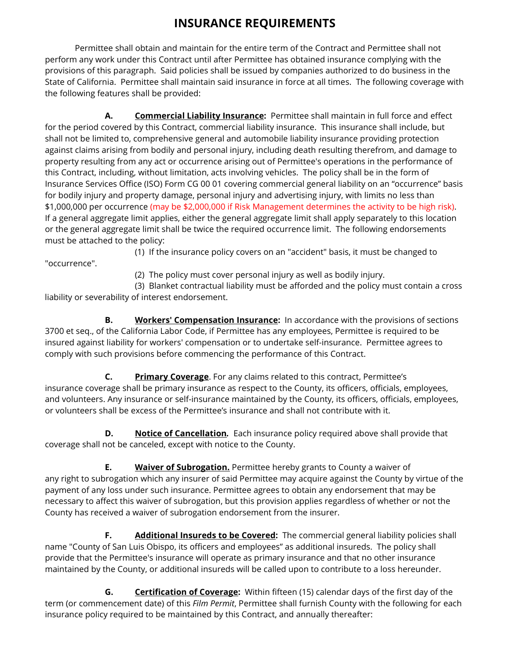## **INSURANCE REQUIREMENTS**

Permittee shall obtain and maintain for the entire term of the Contract and Permittee shall not perform any work under this Contract until after Permittee has obtained insurance complying with the provisions of this paragraph. Said policies shall be issued by companies authorized to do business in the State of California. Permittee shall maintain said insurance in force at all times. The following coverage with the following features shall be provided:

**A. Commercial Liability Insurance:** Permittee shall maintain in full force and effect for the period covered by this Contract, commercial liability insurance. This insurance shall include, but shall not be limited to, comprehensive general and automobile liability insurance providing protection against claims arising from bodily and personal injury, including death resulting therefrom, and damage to property resulting from any act or occurrence arising out of Permittee's operations in the performance of this Contract, including, without limitation, acts involving vehicles. The policy shall be in the form of Insurance Services Office (ISO) Form CG 00 01 covering commercial general liability on an "occurrence" basis for bodily injury and property damage, personal injury and advertising injury, with limits no less than \$1,000,000 per occurrence (may be \$2,000,000 if Risk Management determines the activity to be high risk). If a general aggregate limit applies, either the general aggregate limit shall apply separately to this location or the general aggregate limit shall be twice the required occurrence limit. The following endorsements must be attached to the policy:

"occurrence".

(1) If the insurance policy covers on an "accident" basis, it must be changed to

(2) The policy must cover personal injury as well as bodily injury.

(3) Blanket contractual liability must be afforded and the policy must contain a cross liability or severability of interest endorsement.

**B. Workers' Compensation Insurance:** In accordance with the provisions of sections 3700 et seq., of the California Labor Code, if Permittee has any employees, Permittee is required to be insured against liability for workers' compensation or to undertake self-insurance. Permittee agrees to comply with such provisions before commencing the performance of this Contract.

**C. Primary Coverage**. For any claims related to this contract, Permittee's insurance coverage shall be primary insurance as respect to the County, its officers, officials, employees, and volunteers. Any insurance or self-insurance maintained by the County, its officers, officials, employees, or volunteers shall be excess of the Permittee's insurance and shall not contribute with it.

**D. Notice of Cancellation**. Each insurance policy required above shall provide that coverage shall not be canceled, except with notice to the County.

**E. Waiver of Subrogation.** Permittee hereby grants to County a waiver of any right to subrogation which any insurer of said Permittee may acquire against the County by virtue of the payment of any loss under such insurance. Permittee agrees to obtain any endorsement that may be necessary to affect this waiver of subrogation, but this provision applies regardless of whether or not the County has received a waiver of subrogation endorsement from the insurer.

**F.** Additional Insureds to be Covered: The commercial general liability policies shall name "County of San Luis Obispo, its officers and employees" as additional insureds. The policy shall provide that the Permittee's insurance will operate as primary insurance and that no other insurance maintained by the County, or additional insureds will be called upon to contribute to a loss hereunder.

**G. Certification of Coverage:** Within fifteen (15) calendar days of the first day of the term (or commencement date) of this *Film Permit*, Permittee shall furnish County with the following for each insurance policy required to be maintained by this Contract, and annually thereafter: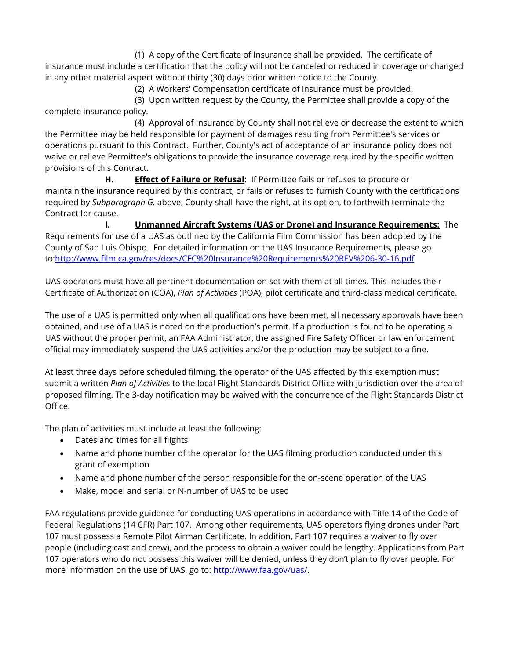(1) A copy of the Certificate of Insurance shall be provided. The certificate of insurance must include a certification that the policy will not be canceled or reduced in coverage or changed in any other material aspect without thirty (30) days prior written notice to the County.

(2) A Workers' Compensation certificate of insurance must be provided.

(3) Upon written request by the County, the Permittee shall provide a copy of the complete insurance policy.

(4) Approval of Insurance by County shall not relieve or decrease the extent to which the Permittee may be held responsible for payment of damages resulting from Permittee's services or operations pursuant to this Contract. Further, County's act of acceptance of an insurance policy does not waive or relieve Permittee's obligations to provide the insurance coverage required by the specific written provisions of this Contract.

**H. Effect of Failure or Refusal:** If Permittee fails or refuses to procure or maintain the insurance required by this contract, or fails or refuses to furnish County with the certifications required by *Subparagraph G.* above, County shall have the right, at its option, to forthwith terminate the Contract for cause.

**I. Unmanned Aircraft Systems (UAS or Drone) and Insurance Requirements:** The Requirements for use of a UAS as outlined by the California Film Commission has been adopted by the County of San Luis Obispo. For detailed information on the UAS Insurance Requirements, please go to[:http://www.film.ca.gov/res/docs/CFC%20Insurance%20Requirements%20REV%206-30-16.pdf](http://www.film.ca.gov/res/docs/CFC%20Insurance%20Requirements%20REV%206-30-16.pdf) 

UAS operators must have all pertinent documentation on set with them at all times. This includes their Certificate of Authorization (COA), *Plan of Activities* (POA), pilot certificate and third-class medical certificate.

The use of a UAS is permitted only when all qualifications have been met, all necessary approvals have been obtained, and use of a UAS is noted on the production's permit. If a production is found to be operating a UAS without the proper permit, an FAA Administrator, the assigned Fire Safety Officer or law enforcement official may immediately suspend the UAS activities and/or the production may be subject to a fine.

At least three days before scheduled filming, the operator of the UAS affected by this exemption must submit a written *Plan of Activities* to the local Flight Standards District Office with jurisdiction over the area of proposed filming. The 3-day notification may be waived with the concurrence of the Flight Standards District Office.

The plan of activities must include at least the following:

- Dates and times for all flights
- Name and phone number of the operator for the UAS filming production conducted under this grant of exemption
- Name and phone number of the person responsible for the on-scene operation of the UAS
- Make, model and serial or N-number of UAS to be used

FAA regulations provide guidance for conducting UAS operations in accordance with Title 14 of the Code of Federal Regulations (14 CFR) Part 107. Among other requirements, UAS operators flying drones under Part 107 must possess a Remote Pilot Airman Certificate. In addition, Part 107 requires a waiver to fly over people (including cast and crew), and the process to obtain a waiver could be lengthy. Applications from Part 107 operators who do not possess this waiver will be denied, unless they don't plan to fly over people. For more information on the use of UAS, go to: [http://www.faa.gov/uas/.](http://www.faa.gov/uas/)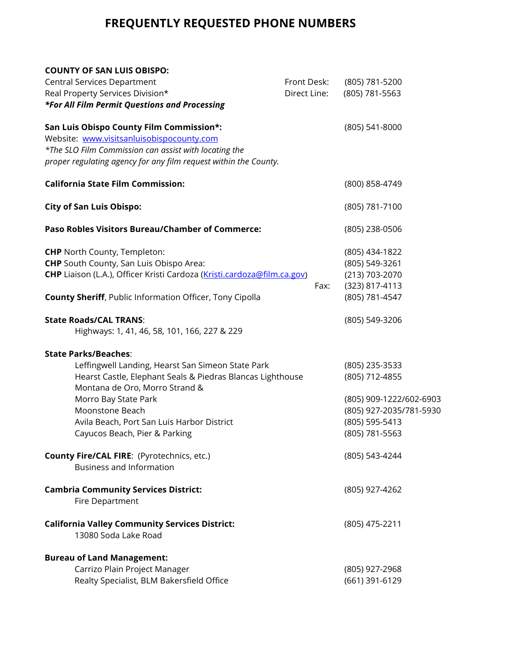# **FREQUENTLY REQUESTED PHONE NUMBERS**

| <b>COUNTY OF SAN LUIS OBISPO:</b>                                                            |              |                         |
|----------------------------------------------------------------------------------------------|--------------|-------------------------|
| <b>Central Services Department</b>                                                           | Front Desk:  | (805) 781-5200          |
| Real Property Services Division*                                                             | Direct Line: | (805) 781-5563          |
| *For All Film Permit Questions and Processing                                                |              |                         |
| San Luis Obispo County Film Commission*:                                                     |              | (805) 541-8000          |
| Website: www.visitsanluisobispocounty.com                                                    |              |                         |
| *The SLO Film Commission can assist with locating the                                        |              |                         |
| proper regulating agency for any film request within the County.                             |              |                         |
| <b>California State Film Commission:</b>                                                     |              | (800) 858-4749          |
| <b>City of San Luis Obispo:</b>                                                              |              | (805) 781-7100          |
| <b>Paso Robles Visitors Bureau/Chamber of Commerce:</b>                                      |              | (805) 238-0506          |
| <b>CHP</b> North County, Templeton:                                                          |              | (805) 434-1822          |
| <b>CHP</b> South County, San Luis Obispo Area:                                               |              | (805) 549-3261          |
| CHP Liaison (L.A.), Officer Kristi Cardoza (Kristi.cardoza@film.ca.gov)                      |              | (213) 703-2070          |
|                                                                                              | Fax:         | (323) 817-4113          |
| <b>County Sheriff, Public Information Officer, Tony Cipolla</b>                              |              | (805) 781-4547          |
| <b>State Roads/CAL TRANS:</b><br>Highways: 1, 41, 46, 58, 101, 166, 227 & 229                |              | (805) 549-3206          |
| <b>State Parks/Beaches:</b>                                                                  |              |                         |
| Leffingwell Landing, Hearst San Simeon State Park                                            |              | (805) 235-3533          |
| Hearst Castle, Elephant Seals & Piedras Blancas Lighthouse<br>Montana de Oro, Morro Strand & |              | (805) 712-4855          |
| Morro Bay State Park                                                                         |              | (805) 909-1222/602-6903 |
| Moonstone Beach                                                                              |              | (805) 927-2035/781-5930 |
| Avila Beach, Port San Luis Harbor District                                                   |              | (805) 595-5413          |
| Cayucos Beach, Pier & Parking                                                                |              | (805) 781-5563          |
| County Fire/CAL FIRE: (Pyrotechnics, etc.)<br><b>Business and Information</b>                |              | (805) 543-4244          |
| <b>Cambria Community Services District:</b><br>Fire Department                               |              | (805) 927-4262          |
| <b>California Valley Community Services District:</b><br>13080 Soda Lake Road                |              | (805) 475-2211          |
| <b>Bureau of Land Management:</b>                                                            |              |                         |
| Carrizo Plain Project Manager                                                                |              | (805) 927-2968          |
| Realty Specialist, BLM Bakersfield Office                                                    |              | (661) 391-6129          |